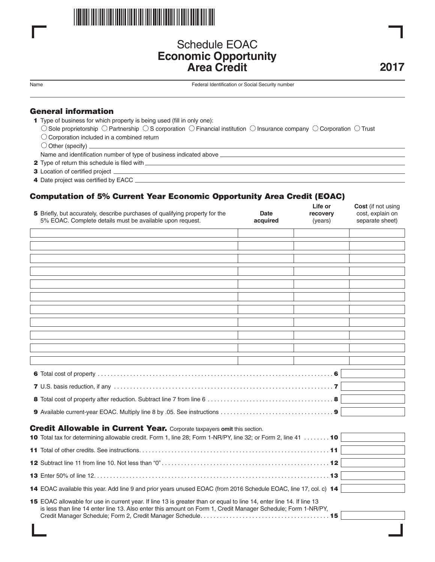

# Schedule EOAC **Economic Opportunity Area Credit**

Name Federal Identification or Social Security number

## **General information**

- **11** Type of business for which property is being used (fill in only one):
	- $\circlearrowright$  Sole proprietorship  $\circlearrowright$  Partnership  $\circlearrowright$  S corporation  $\circlearrowright$  Financial institution  $\circlearrowright$  Insurance company  $\circlearrowright$  Corporation  $\circlearrowright$  Trust

<u> 1989 - Johann Stein, marwolaethau a bhann an t-Amhain an t-Amhain an t-Amhain an t-Amhain an t-Amhain an t-A</u>

- $\bigcirc$  Corporation included in a combined return
- $\bigcirc$  Other (specify)  $\overline{\phantom{a}}$

Name and identification number of type of business indicated above

- **12** Type of return this schedule is filed with
- **3** Location of certified project
- **14** Date project was certified by EACC

# **Computation of 5% Current Year Economic Opportunity Area Credit (EOAC)**

| 5 Briefly, but accurately, describe purchases of qualifying property for the<br>5% EOAC. Complete details must be available upon request.                                                                                            | Date<br>acquired | ыс ч<br>recovery<br>(years) | <b>UUSL</b> (II HUL USIHY<br>cost, explain on<br>separate sheet) |  |  |  |
|--------------------------------------------------------------------------------------------------------------------------------------------------------------------------------------------------------------------------------------|------------------|-----------------------------|------------------------------------------------------------------|--|--|--|
|                                                                                                                                                                                                                                      |                  |                             |                                                                  |  |  |  |
|                                                                                                                                                                                                                                      |                  |                             |                                                                  |  |  |  |
|                                                                                                                                                                                                                                      |                  |                             |                                                                  |  |  |  |
|                                                                                                                                                                                                                                      |                  |                             |                                                                  |  |  |  |
|                                                                                                                                                                                                                                      |                  |                             |                                                                  |  |  |  |
|                                                                                                                                                                                                                                      |                  |                             |                                                                  |  |  |  |
|                                                                                                                                                                                                                                      |                  |                             |                                                                  |  |  |  |
|                                                                                                                                                                                                                                      |                  |                             |                                                                  |  |  |  |
|                                                                                                                                                                                                                                      |                  |                             |                                                                  |  |  |  |
|                                                                                                                                                                                                                                      |                  |                             |                                                                  |  |  |  |
|                                                                                                                                                                                                                                      |                  |                             |                                                                  |  |  |  |
|                                                                                                                                                                                                                                      |                  |                             |                                                                  |  |  |  |
|                                                                                                                                                                                                                                      |                  |                             |                                                                  |  |  |  |
|                                                                                                                                                                                                                                      |                  |                             |                                                                  |  |  |  |
|                                                                                                                                                                                                                                      |                  |                             |                                                                  |  |  |  |
| <b>Credit Allowable in Current Year.</b> Corporate taxpayers omit this section.                                                                                                                                                      |                  |                             |                                                                  |  |  |  |
| 10 Total tax for determining allowable credit. Form 1, line 28; Form 1-NR/PY, line 32; or Form 2, line 41  10                                                                                                                        |                  |                             |                                                                  |  |  |  |
|                                                                                                                                                                                                                                      |                  |                             |                                                                  |  |  |  |
|                                                                                                                                                                                                                                      |                  |                             |                                                                  |  |  |  |
|                                                                                                                                                                                                                                      |                  |                             |                                                                  |  |  |  |
| 14 EOAC available this year. Add line 9 and prior years unused EOAC (from 2016 Schedule EOAC, line 17, col. c) 14                                                                                                                    |                  |                             |                                                                  |  |  |  |
| 15 EOAC allowable for use in current year. If line 13 is greater than or equal to line 14, enter line 14. If line 13<br>is less than line 14 enter line 13. Also enter this amount on Form 1, Credit Manager Schedule; Form 1-NR/PY, |                  |                             |                                                                  |  |  |  |
|                                                                                                                                                                                                                                      |                  |                             |                                                                  |  |  |  |

**2017**

**Life or Cost** (if not using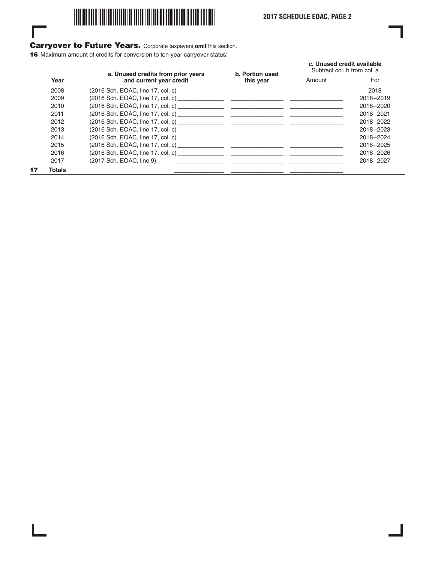

## **Carryover to Future Years.** Corporate taxpayers **omit** this section.

**16** Maximum amount of credits for conversion to ten-year carryover status:

I

|      |               | a. Unused credits from prior years<br>and current year credit | b. Portion used<br>this year | c. Unused credit available<br>Subtract col. b from col. a |           |
|------|---------------|---------------------------------------------------------------|------------------------------|-----------------------------------------------------------|-----------|
| Year |               |                                                               |                              | Amount                                                    | For       |
|      | 2008          |                                                               |                              |                                                           | 2018      |
|      | 2009          |                                                               |                              |                                                           | 2018-2019 |
|      | 2010          |                                                               |                              |                                                           | 2018-2020 |
|      | 2011          |                                                               |                              |                                                           | 2018-2021 |
|      | 2012          |                                                               |                              |                                                           | 2018-2022 |
|      | 2013          |                                                               |                              |                                                           | 2018-2023 |
|      | 2014          |                                                               |                              |                                                           | 2018-2024 |
|      | 2015          |                                                               |                              |                                                           | 2018-2025 |
|      | 2016          |                                                               |                              |                                                           | 2018-2026 |
|      | 2017          | (2017 Sch. EOAC, line 9)                                      |                              |                                                           | 2018-2027 |
|      | <b>Totals</b> |                                                               |                              |                                                           |           |